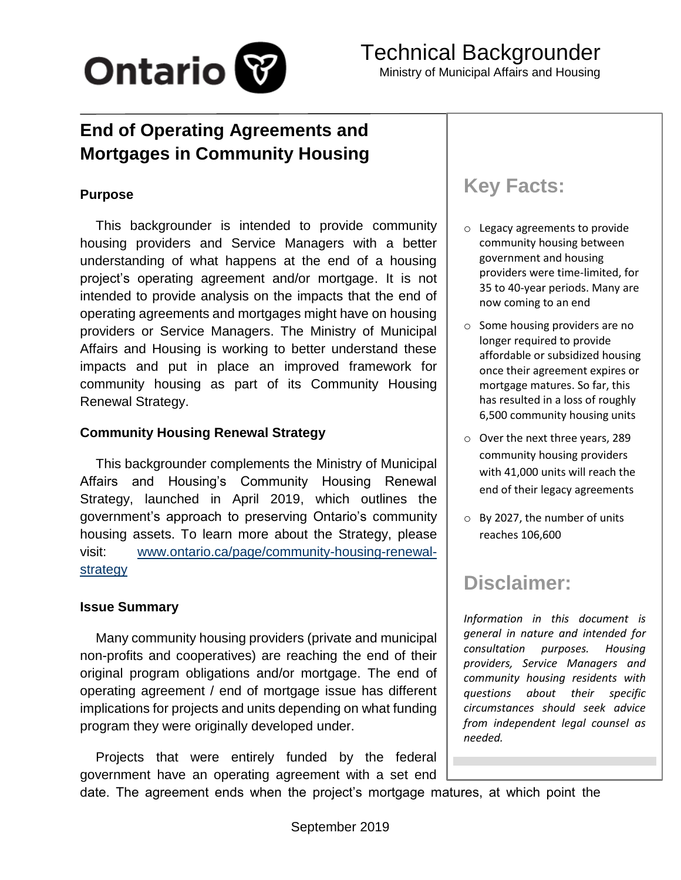

## **End of Operating Agreements and Mortgages in Community Housing**

#### **Purpose**

This backgrounder is intended to provide community housing providers and Service Managers with a better understanding of what happens at the end of a housing project's operating agreement and/or mortgage. It is not intended to provide analysis on the impacts that the end of operating agreements and mortgages might have on housing providers or Service Managers. The Ministry of Municipal Affairs and Housing is working to better understand these impacts and put in place an improved framework for community housing as part of its Community Housing Renewal Strategy.

#### **Community Housing Renewal Strategy**

This backgrounder complements the Ministry of Municipal Affairs and Housing's Community Housing Renewal Strategy, launched in April 2019, which outlines the government's approach to preserving Ontario's community housing assets. To learn more about the Strategy, please visit: [www.ontario.ca/page/community-housing-renewal](http://www.ontario.ca/page/community-housing-renewal-strategy)[strategy](http://www.ontario.ca/page/community-housing-renewal-strategy)

#### **Issue Summary**

Many community housing providers (private and municipal non-profits and cooperatives) are reaching the end of their original program obligations and/or mortgage. The end of operating agreement / end of mortgage issue has different implications for projects and units depending on what funding program they were originally developed under.

Projects that were entirely funded by the federal government have an operating agreement with a set end

# **Key Facts:**

- o Legacy agreements to provide community housing between government and housing providers were time-limited, for 35 to 40-year periods. Many are now coming to an end
- o Some housing providers are no longer required to provide affordable or subsidized housing once their agreement expires or mortgage matures. So far, this has resulted in a loss of roughly 6,500 community housing units
- o Over the next three years, 289 community housing providers with 41,000 units will reach the end of their legacy agreements
- o By 2027, the number of units reaches 106,600

## **Disclaimer:**

*Information in this document is general in nature and intended for consultation purposes. Housing providers, Service Managers and community housing residents with questions about their specific circumstances should seek advice from independent legal counsel as needed.*

date. The agreement ends when the project's mortgage matures, at which point the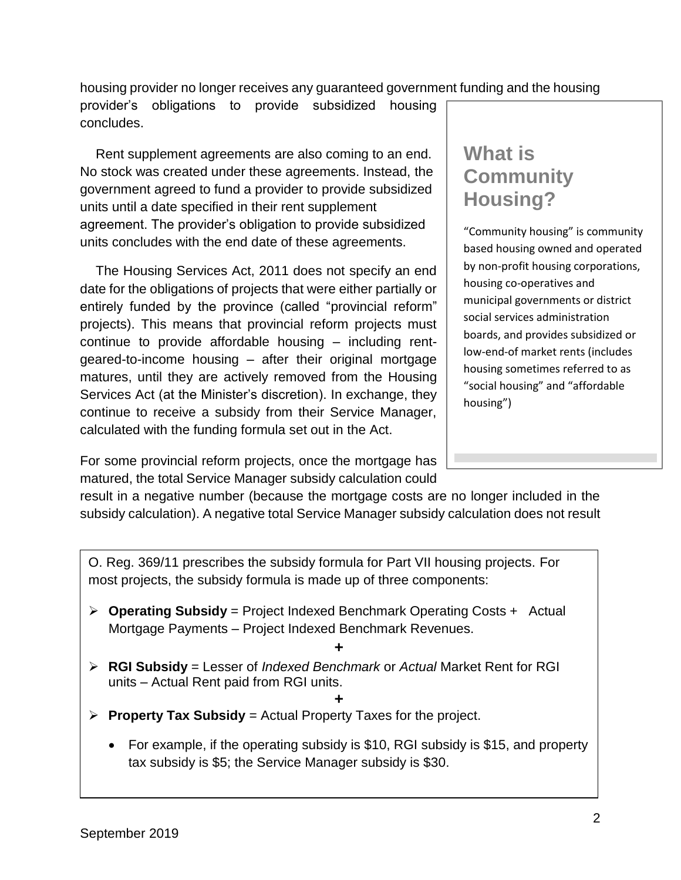housing provider no longer receives any guaranteed government funding and the housing

provider's obligations to provide subsidized housing concludes.

Rent supplement agreements are also coming to an end. No stock was created under these agreements. Instead, the government agreed to fund a provider to provide subsidized units until a date specified in their rent supplement agreement. The provider's obligation to provide subsidized units concludes with the end date of these agreements.

The Housing Services Act, 2011 does not specify an end date for the obligations of projects that were either partially or entirely funded by the province (called "provincial reform" projects). This means that provincial reform projects must continue to provide affordable housing – including rentgeared-to-income housing – after their original mortgage matures, until they are actively removed from the Housing Services Act (at the Minister's discretion). In exchange, they continue to receive a subsidy from their Service Manager, calculated with the funding formula set out in the Act.

For some provincial reform projects, once the mortgage has matured, the total Service Manager subsidy calculation could

# **What is Community Housing?**

"Community housing" is community based housing owned and operated by non-profit housing corporations, housing co-operatives and municipal governments or district social services administration boards, and provides subsidized or low-end-of market rents (includes housing sometimes referred to as "social housing" and "affordable housing")

result in a negative number (because the mortgage costs are no longer included in the subsidy calculation). A negative total Service Manager subsidy calculation does not result

O. Reg. 369/11 prescribes the subsidy formula for Part VII housing projects. For most projects, the subsidy formula is made up of three components:

- ➢ **Operating Subsidy** = Project Indexed Benchmark Operating Costs + Actual Mortgage Payments – Project Indexed Benchmark Revenues.
	- **+**
- ➢ **RGI Subsidy** = Lesser of *Indexed Benchmark* or *Actual* Market Rent for RGI units – Actual Rent paid from RGI units.

#### **+** ➢ **Property Tax Subsidy** = Actual Property Taxes for the project.

• For example, if the operating subsidy is \$10, RGI subsidy is \$15, and property tax subsidy is \$5; the Service Manager subsidy is \$30.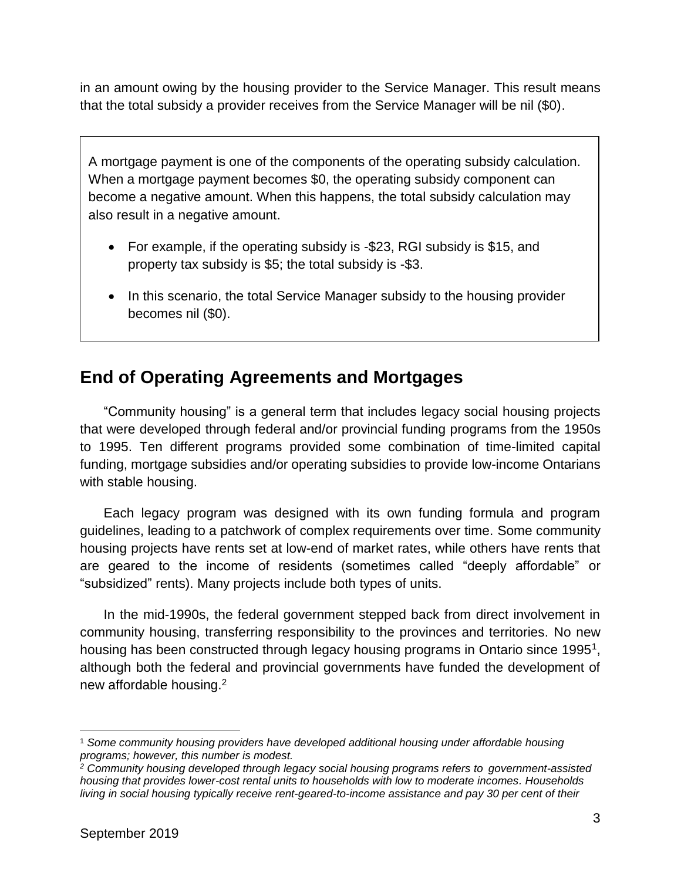in an amount owing by the housing provider to the Service Manager. This result means that the total subsidy a provider receives from the Service Manager will be nil (\$0).

A mortgage payment is one of the components of the operating subsidy calculation. When a mortgage payment becomes \$0, the operating subsidy component can become a negative amount. When this happens, the total subsidy calculation may also result in a negative amount.

- For example, if the operating subsidy is -\$23, RGI subsidy is \$15, and property tax subsidy is \$5; the total subsidy is -\$3.
- In this scenario, the total Service Manager subsidy to the housing provider becomes nil (\$0).

### **End of Operating Agreements and Mortgages**

"Community housing" is a general term that includes legacy social housing projects that were developed through federal and/or provincial funding programs from the 1950s to 1995. Ten different programs provided some combination of time-limited capital funding, mortgage subsidies and/or operating subsidies to provide low-income Ontarians with stable housing.

Each legacy program was designed with its own funding formula and program guidelines, leading to a patchwork of complex requirements over time. Some community housing projects have rents set at low-end of market rates, while others have rents that are geared to the income of residents (sometimes called "deeply affordable" or "subsidized" rents). Many projects include both types of units.

In the mid-1990s, the federal government stepped back from direct involvement in community housing, transferring responsibility to the provinces and territories. No new housing has been constructed through legacy housing programs in Ontario since 1995<sup>1</sup>, although both the federal and provincial governments have funded the development of new affordable housing.<sup>2</sup>

<sup>1</sup> *Some community housing providers have developed additional housing under affordable housing programs; however, this number is modest.*

*<sup>2</sup> Community housing developed through legacy social housing programs refers to government-assisted housing that provides lower-cost rental units to households with low to moderate incomes. Households living in social housing typically receive rent-geared-to-income assistance and pay 30 per cent of their*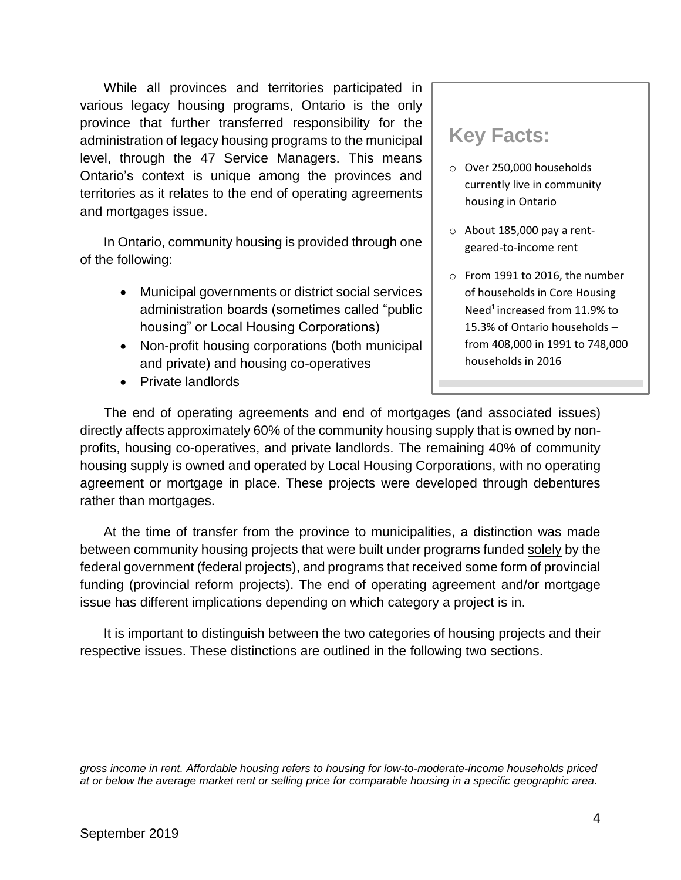While all provinces and territories participated in various legacy housing programs, Ontario is the only province that further transferred responsibility for the administration of legacy housing programs to the municipal level, through the 47 Service Managers. This means Ontario's context is unique among the provinces and territories as it relates to the end of operating agreements and mortgages issue.

In Ontario, community housing is provided through one of the following:

- Municipal governments or district social services administration boards (sometimes called "public housing" or Local Housing Corporations)
- Non-profit housing corporations (both municipal and private) and housing co-operatives
- Private landlords

### **Key Facts:**

- o Over 250,000 households currently live in community housing in Ontario
- $\circ$  About 185,000 pay a rentgeared-to-income rent
- o From 1991 to 2016, the number of households in Core Housing Need<sup>1</sup> increased from 11.9% to 15.3% of Ontario households – from 408,000 in 1991 to 748,000 households in 2016

The end of operating agreements and end of mortgages (and associated issues) directly affects approximately 60% of the community housing supply that is owned by nonprofits, housing co-operatives, and private landlords. The remaining 40% of community housing supply is owned and operated by Local Housing Corporations, with no operating agreement or mortgage in place. These projects were developed through debentures rather than mortgages.

At the time of transfer from the province to municipalities, a distinction was made between community housing projects that were built under programs funded solely by the federal government (federal projects), and programs that received some form of provincial funding (provincial reform projects). The end of operating agreement and/or mortgage issue has different implications depending on which category a project is in.

It is important to distinguish between the two categories of housing projects and their respective issues. These distinctions are outlined in the following two sections.

*gross income in rent. Affordable housing refers to housing for low-to-moderate-income households priced at or below the average market rent or selling price for comparable housing in a specific geographic area.*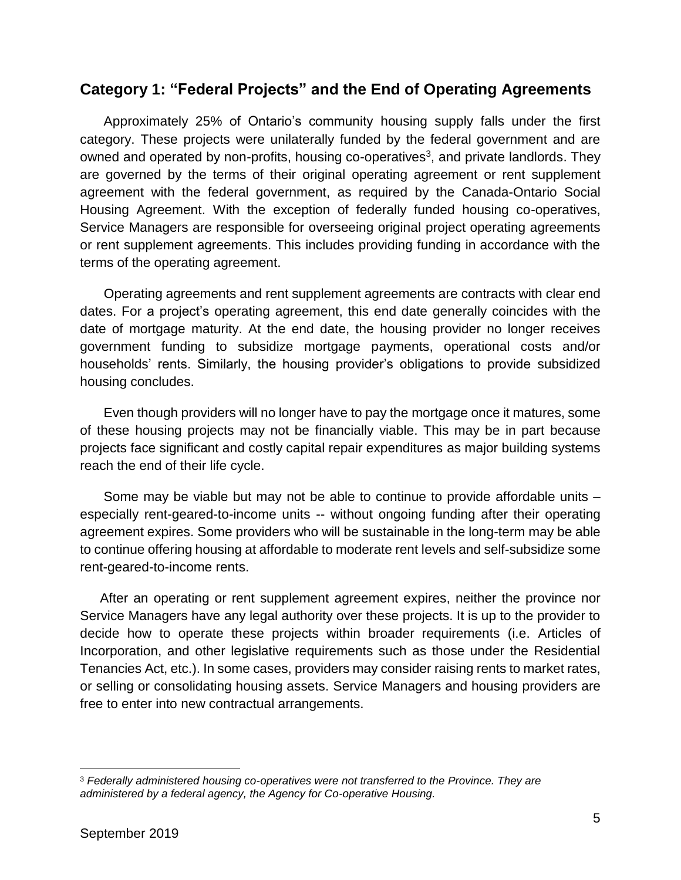#### **Category 1: "Federal Projects" and the End of Operating Agreements**

Approximately 25% of Ontario's community housing supply falls under the first category. These projects were unilaterally funded by the federal government and are owned and operated by non-profits, housing co-operatives<sup>3</sup>, and private landlords. They are governed by the terms of their original operating agreement or rent supplement agreement with the federal government, as required by the Canada-Ontario Social Housing Agreement. With the exception of federally funded housing co-operatives, Service Managers are responsible for overseeing original project operating agreements or rent supplement agreements. This includes providing funding in accordance with the terms of the operating agreement.

Operating agreements and rent supplement agreements are contracts with clear end dates. For a project's operating agreement, this end date generally coincides with the date of mortgage maturity. At the end date, the housing provider no longer receives government funding to subsidize mortgage payments, operational costs and/or households' rents. Similarly, the housing provider's obligations to provide subsidized housing concludes.

Even though providers will no longer have to pay the mortgage once it matures, some of these housing projects may not be financially viable. This may be in part because projects face significant and costly capital repair expenditures as major building systems reach the end of their life cycle.

Some may be viable but may not be able to continue to provide affordable units – especially rent-geared-to-income units -- without ongoing funding after their operating agreement expires. Some providers who will be sustainable in the long-term may be able to continue offering housing at affordable to moderate rent levels and self-subsidize some rent-geared-to-income rents.

After an operating or rent supplement agreement expires, neither the province nor Service Managers have any legal authority over these projects. It is up to the provider to decide how to operate these projects within broader requirements (i.e. Articles of Incorporation, and other legislative requirements such as those under the Residential Tenancies Act, etc.). In some cases, providers may consider raising rents to market rates, or selling or consolidating housing assets. Service Managers and housing providers are free to enter into new contractual arrangements.

<sup>3</sup> *Federally administered housing co-operatives were not transferred to the Province. They are administered by a federal agency, the Agency for Co-operative Housing.*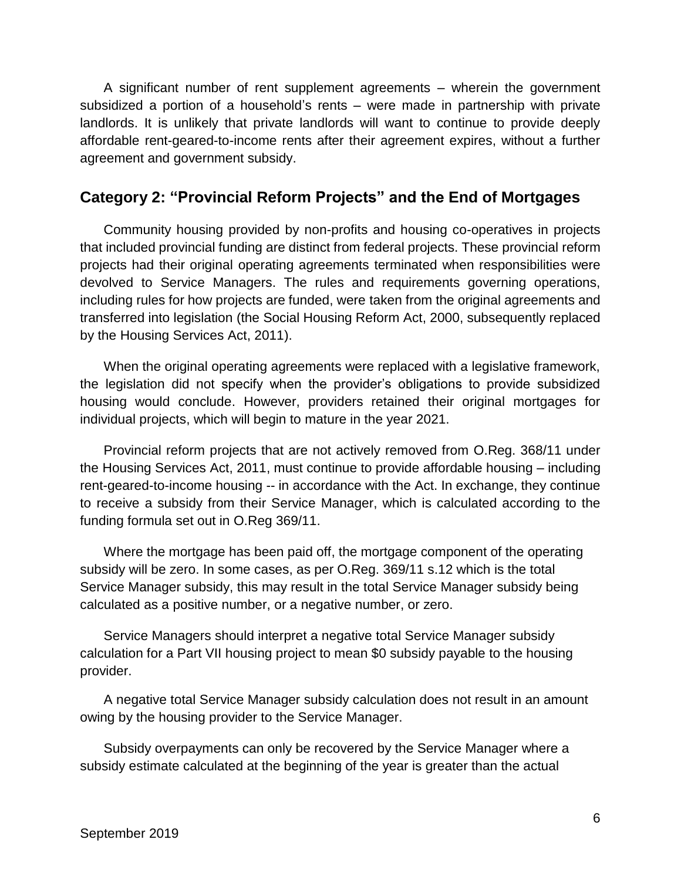A significant number of rent supplement agreements – wherein the government subsidized a portion of a household's rents – were made in partnership with private landlords. It is unlikely that private landlords will want to continue to provide deeply affordable rent-geared-to-income rents after their agreement expires, without a further agreement and government subsidy.

#### **Category 2: "Provincial Reform Projects" and the End of Mortgages**

Community housing provided by non-profits and housing co-operatives in projects that included provincial funding are distinct from federal projects. These provincial reform projects had their original operating agreements terminated when responsibilities were devolved to Service Managers. The rules and requirements governing operations, including rules for how projects are funded, were taken from the original agreements and transferred into legislation (the Social Housing Reform Act, 2000, subsequently replaced by the Housing Services Act, 2011).

When the original operating agreements were replaced with a legislative framework, the legislation did not specify when the provider's obligations to provide subsidized housing would conclude. However, providers retained their original mortgages for individual projects, which will begin to mature in the year 2021.

Provincial reform projects that are not actively removed from O.Reg. 368/11 under the Housing Services Act, 2011, must continue to provide affordable housing – including rent-geared-to-income housing -- in accordance with the Act. In exchange, they continue to receive a subsidy from their Service Manager, which is calculated according to the funding formula set out in O.Reg 369/11.

Where the mortgage has been paid off, the mortgage component of the operating subsidy will be zero. In some cases, as per O.Reg. 369/11 s.12 which is the total Service Manager subsidy, this may result in the total Service Manager subsidy being calculated as a positive number, or a negative number, or zero.

Service Managers should interpret a negative total Service Manager subsidy calculation for a Part VII housing project to mean \$0 subsidy payable to the housing provider.

A negative total Service Manager subsidy calculation does not result in an amount owing by the housing provider to the Service Manager.

Subsidy overpayments can only be recovered by the Service Manager where a subsidy estimate calculated at the beginning of the year is greater than the actual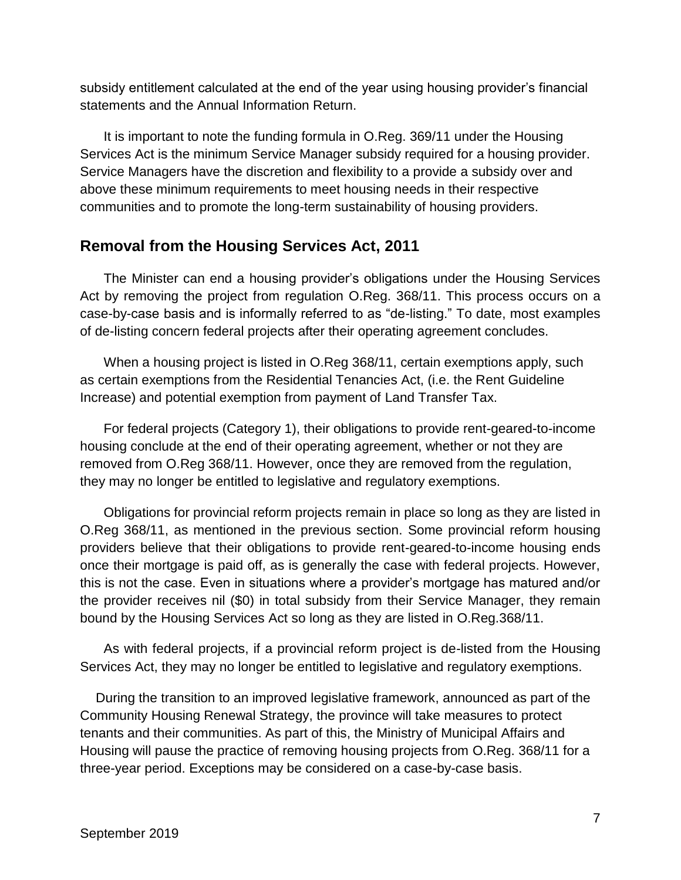subsidy entitlement calculated at the end of the year using housing provider's financial statements and the Annual Information Return.

It is important to note the funding formula in O.Reg. 369/11 under the Housing Services Act is the minimum Service Manager subsidy required for a housing provider. Service Managers have the discretion and flexibility to a provide a subsidy over and above these minimum requirements to meet housing needs in their respective communities and to promote the long-term sustainability of housing providers.

#### **Removal from the Housing Services Act, 2011**

The Minister can end a housing provider's obligations under the Housing Services Act by removing the project from regulation O.Reg. 368/11. This process occurs on a case-by-case basis and is informally referred to as "de-listing." To date, most examples of de-listing concern federal projects after their operating agreement concludes.

When a housing project is listed in O.Reg 368/11, certain exemptions apply, such as certain exemptions from the Residential Tenancies Act, (i.e. the Rent Guideline Increase) and potential exemption from payment of Land Transfer Tax.

For federal projects (Category 1), their obligations to provide rent-geared-to-income housing conclude at the end of their operating agreement, whether or not they are removed from O.Reg 368/11. However, once they are removed from the regulation, they may no longer be entitled to legislative and regulatory exemptions.

Obligations for provincial reform projects remain in place so long as they are listed in O.Reg 368/11, as mentioned in the previous section. Some provincial reform housing providers believe that their obligations to provide rent-geared-to-income housing ends once their mortgage is paid off, as is generally the case with federal projects. However, this is not the case. Even in situations where a provider's mortgage has matured and/or the provider receives nil (\$0) in total subsidy from their Service Manager, they remain bound by the Housing Services Act so long as they are listed in O.Reg.368/11.

As with federal projects, if a provincial reform project is de-listed from the Housing Services Act, they may no longer be entitled to legislative and regulatory exemptions.

During the transition to an improved legislative framework, announced as part of the Community Housing Renewal Strategy, the province will take measures to protect tenants and their communities. As part of this, the Ministry of Municipal Affairs and Housing will pause the practice of removing housing projects from O.Reg. 368/11 for a three-year period. Exceptions may be considered on a case-by-case basis.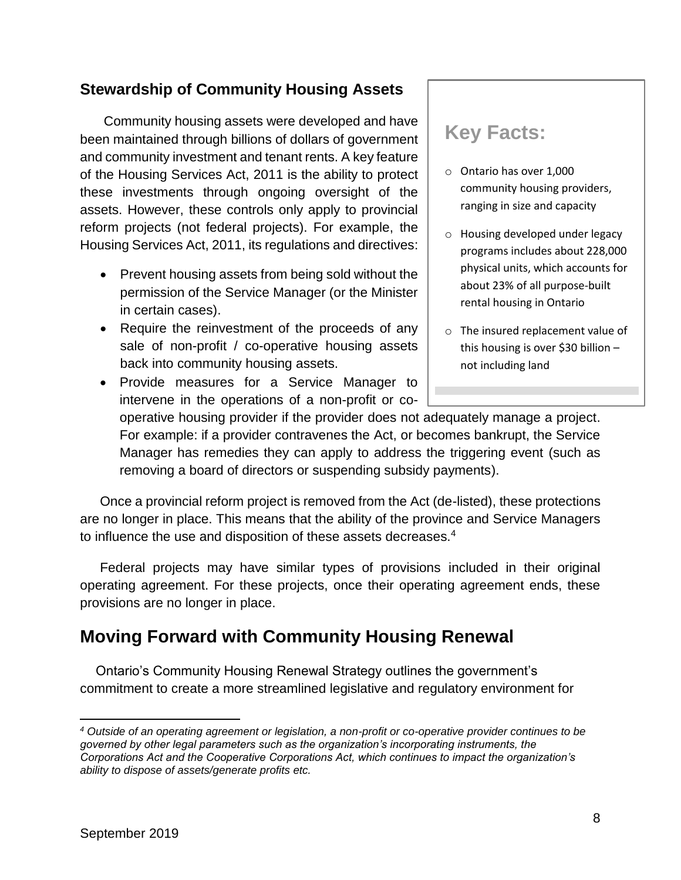#### **Stewardship of Community Housing Assets**

Community housing assets were developed and have been maintained through billions of dollars of government and community investment and tenant rents. A key feature of the Housing Services Act, 2011 is the ability to protect these investments through ongoing oversight of the assets. However, these controls only apply to provincial reform projects (not federal projects). For example, the Housing Services Act, 2011, its regulations and directives:

- Prevent housing assets from being sold without the permission of the Service Manager (or the Minister in certain cases).
- Require the reinvestment of the proceeds of any sale of non-profit / co-operative housing assets back into community housing assets.
- Provide measures for a Service Manager to intervene in the operations of a non-profit or co-

## **Key Facts:**

- o Ontario has over 1,000 community housing providers, ranging in size and capacity
- o Housing developed under legacy programs includes about 228,000 physical units, which accounts for about 23% of all purpose-built rental housing in Ontario
- o The insured replacement value of this housing is over \$30 billion – not including land

operative housing provider if the provider does not adequately manage a project. For example: if a provider contravenes the Act, or becomes bankrupt, the Service Manager has remedies they can apply to address the triggering event (such as removing a board of directors or suspending subsidy payments).

Once a provincial reform project is removed from the Act (de-listed), these protections are no longer in place. This means that the ability of the province and Service Managers to influence the use and disposition of these assets decreases.<sup>4</sup>

Federal projects may have similar types of provisions included in their original operating agreement. For these projects, once their operating agreement ends, these provisions are no longer in place.

### **Moving Forward with Community Housing Renewal**

Ontario's Community Housing Renewal Strategy outlines the government's commitment to create a more streamlined legislative and regulatory environment for

*<sup>4</sup> Outside of an operating agreement or legislation, a non-profit or co-operative provider continues to be governed by other legal parameters such as the organization's incorporating instruments, the Corporations Act and the Cooperative Corporations Act, which continues to impact the organization's ability to dispose of assets/generate profits etc.*